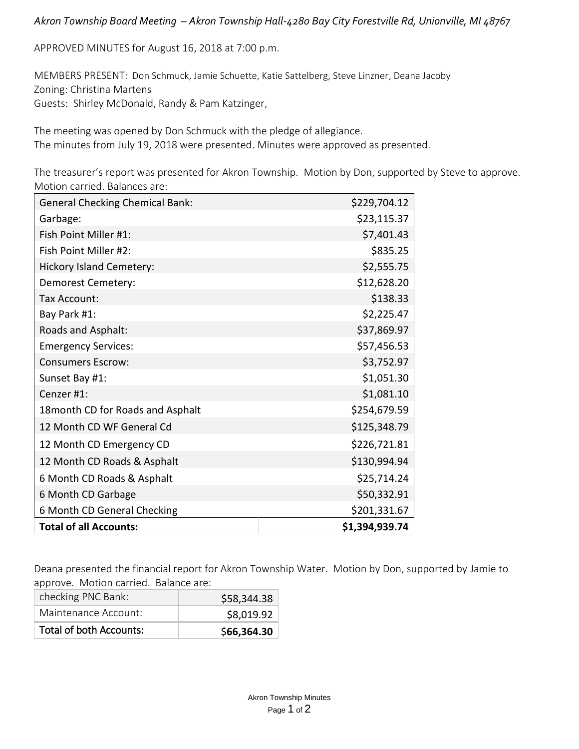## *Akron Township Board Meeting – Akron Township Hall-4280 Bay City Forestville Rd, Unionville, MI 48767*

APPROVED MINUTES for August 16, 2018 at 7:00 p.m.

MEMBERS PRESENT: Don Schmuck, Jamie Schuette, Katie Sattelberg, Steve Linzner, Deana Jacoby Zoning: Christina Martens Guests: Shirley McDonald, Randy & Pam Katzinger,

The meeting was opened by Don Schmuck with the pledge of allegiance. The minutes from July 19, 2018 were presented. Minutes were approved as presented.

The treasurer's report was presented for Akron Township. Motion by Don, supported by Steve to approve. Motion carried. Balances are:

| <b>General Checking Chemical Bank:</b> | \$229,704.12   |
|----------------------------------------|----------------|
| Garbage:                               | \$23,115.37    |
| Fish Point Miller #1:                  | \$7,401.43     |
| Fish Point Miller #2:                  | \$835.25       |
| <b>Hickory Island Cemetery:</b>        | \$2,555.75     |
| Demorest Cemetery:                     | \$12,628.20    |
| Tax Account:                           | \$138.33       |
| Bay Park #1:                           | \$2,225.47     |
| Roads and Asphalt:                     | \$37,869.97    |
| <b>Emergency Services:</b>             | \$57,456.53    |
| <b>Consumers Escrow:</b>               | \$3,752.97     |
| Sunset Bay #1:                         | \$1,051.30     |
| Cenzer #1:                             | \$1,081.10     |
| 18 month CD for Roads and Asphalt      | \$254,679.59   |
| 12 Month CD WF General Cd              | \$125,348.79   |
| 12 Month CD Emergency CD               | \$226,721.81   |
| 12 Month CD Roads & Asphalt            | \$130,994.94   |
| 6 Month CD Roads & Asphalt             | \$25,714.24    |
| 6 Month CD Garbage                     | \$50,332.91    |
| 6 Month CD General Checking            | \$201,331.67   |
| <b>Total of all Accounts:</b>          | \$1,394,939.74 |

Deana presented the financial report for Akron Township Water. Motion by Don, supported by Jamie to approve. Motion carried. Balance are:

| checking PNC Bank:             | \$58,344.38 |
|--------------------------------|-------------|
| Maintenance Account:           | \$8,019.92  |
| <b>Total of both Accounts:</b> | \$66,364.30 |